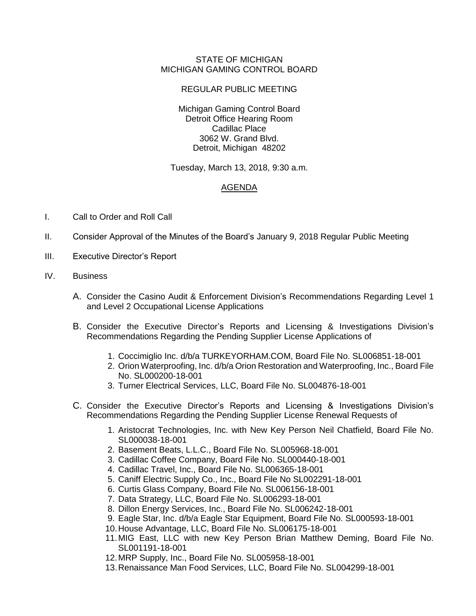## STATE OF MICHIGAN MICHIGAN GAMING CONTROL BOARD

## REGULAR PUBLIC MEETING

Michigan Gaming Control Board Detroit Office Hearing Room Cadillac Place 3062 W. Grand Blvd. Detroit, Michigan 48202

Tuesday, March 13, 2018, 9:30 a.m.

## AGENDA

- I. Call to Order and Roll Call
- II. Consider Approval of the Minutes of the Board's January 9, 2018 Regular Public Meeting
- III. Executive Director's Report
- IV. Business
	- A. Consider the Casino Audit & Enforcement Division's Recommendations Regarding Level 1 and Level 2 Occupational License Applications
	- B. Consider the Executive Director's Reports and Licensing & Investigations Division's Recommendations Regarding the Pending Supplier License Applications of
		- 1. Coccimiglio Inc. d/b/a TURKEYORHAM.COM, Board File No. SL006851-18-001
		- 2. Orion Waterproofing, Inc. d/b/a Orion Restoration and Waterproofing, Inc., Board File No. SL000200-18-001
		- 3. Turner Electrical Services, LLC, Board File No. SL004876-18-001
	- C. Consider the Executive Director's Reports and Licensing & Investigations Division's Recommendations Regarding the Pending Supplier License Renewal Requests of
		- 1. Aristocrat Technologies, Inc. with New Key Person Neil Chatfield, Board File No. SL000038-18-001
		- 2. Basement Beats, L.L.C., Board File No. SL005968-18-001
		- 3. Cadillac Coffee Company, Board File No. SL000440-18-001
		- 4. Cadillac Travel, Inc., Board File No. SL006365-18-001
		- 5. Caniff Electric Supply Co., Inc., Board File No SL002291-18-001
		- 6. Curtis Glass Company, Board File No. SL006156-18-001
		- 7. Data Strategy, LLC, Board File No. SL006293-18-001
		- 8. Dillon Energy Services, Inc., Board File No. SL006242-18-001
		- 9. Eagle Star, Inc. d/b/a Eagle Star Equipment, Board File No. SL000593-18-001
		- 10.House Advantage, LLC, Board File No. SL006175-18-001
		- 11.MIG East, LLC with new Key Person Brian Matthew Deming, Board File No. SL001191-18-001
		- 12.MRP Supply, Inc., Board File No. SL005958-18-001
		- 13.Renaissance Man Food Services, LLC, Board File No. SL004299-18-001